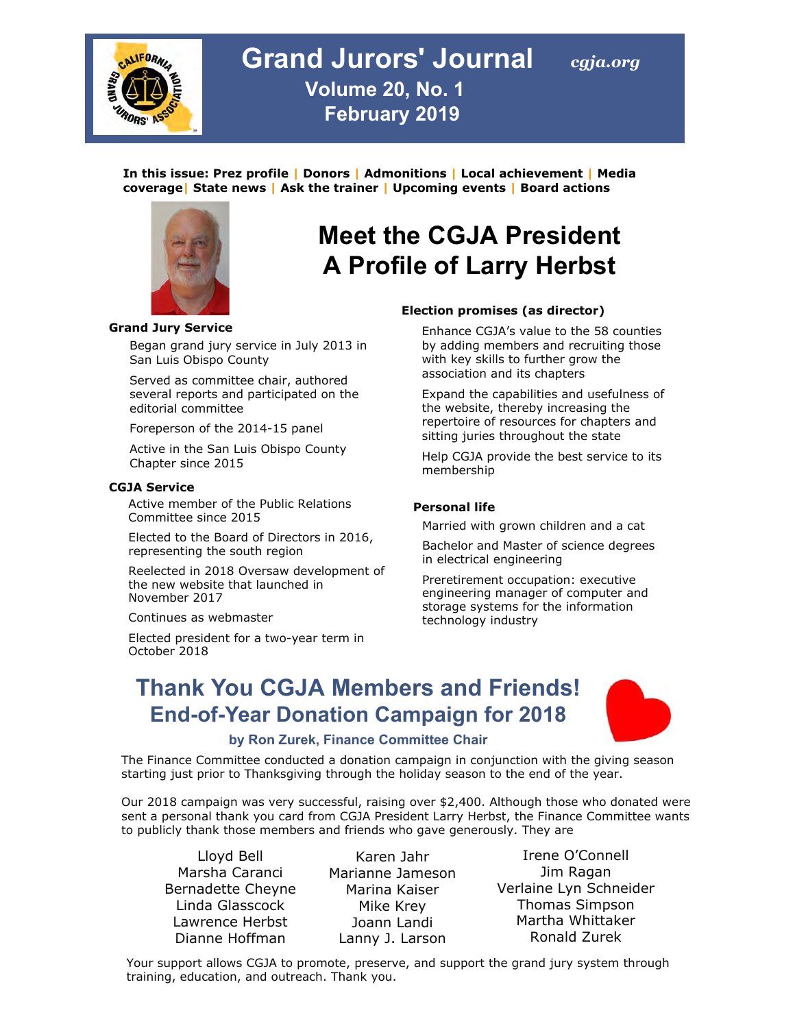

### **Grand Jurors' Journal Volume 20, No. 1 February 2019**

**In this issue: Prez profile | Donors | Admonitions | Local achievement | Media coverage| State news | Ask the trainer | Upcoming events | Board actions**



#### **Grand Jury Service**

Began grand jury service in July 2013 in San Luis Obispo County

Served as committee chair, authored several reports and participated on the editorial committee

Foreperson of the 2014-15 panel

Active in the San Luis Obispo County Chapter since 2015

#### **CGJA Service**

Active member of the Public Relations Committee since 2015

Elected to the Board of Directors in 2016, representing the south region

Reelected in 2018 Oversaw development of the new website that launched in November 2017

Continues as webmaster

Elected president for a two-year term in October 2018

# **Meet the CGJA President A Profile of Larry Herbst**

#### **Election promises (as director)**

Enhance CGJA's value to the 58 counties by adding members and recruiting those with key skills to further grow the association and its chapters

Expand the capabilities and usefulness of the website, thereby increasing the repertoire of resources for chapters and sitting juries throughout the state

Help CGJA provide the best service to its membership

#### **Personal life**

Married with grown children and a cat

Bachelor and Master of science degrees in electrical engineering

Preretirement occupation: executive engineering manager of computer and storage systems for the information technology industry

### **Thank You CGJA Members and Friends! End-of-Year Donation Campaign for 2018**



#### **by Ron Zurek, Finance Committee Chair**

The Finance Committee conducted a donation campaign in conjunction with the giving season starting just prior to Thanksgiving through the holiday season to the end of the year.

Our 2018 campaign was very successful, raising over \$2,400. Although those who donated were sent a personal thank you card from CGJA President Larry Herbst, the Finance Committee wants to publicly thank those members and friends who gave generously. They are

Lloyd Bell Marsha Caranci Bernadette Cheyne Linda Glasscock Lawrence Herbst Dianne Hoffman

Karen Jahr Marianne Jameson Marina Kaiser Mike Krey Joann Landi Lanny J. Larson

Irene O'Connell Jim Ragan Verlaine Lyn Schneider Thomas Simpson Martha Whittaker Ronald Zurek

Your support allows CGJA to promote, preserve, and support the grand jury system through training, education, and outreach. Thank you.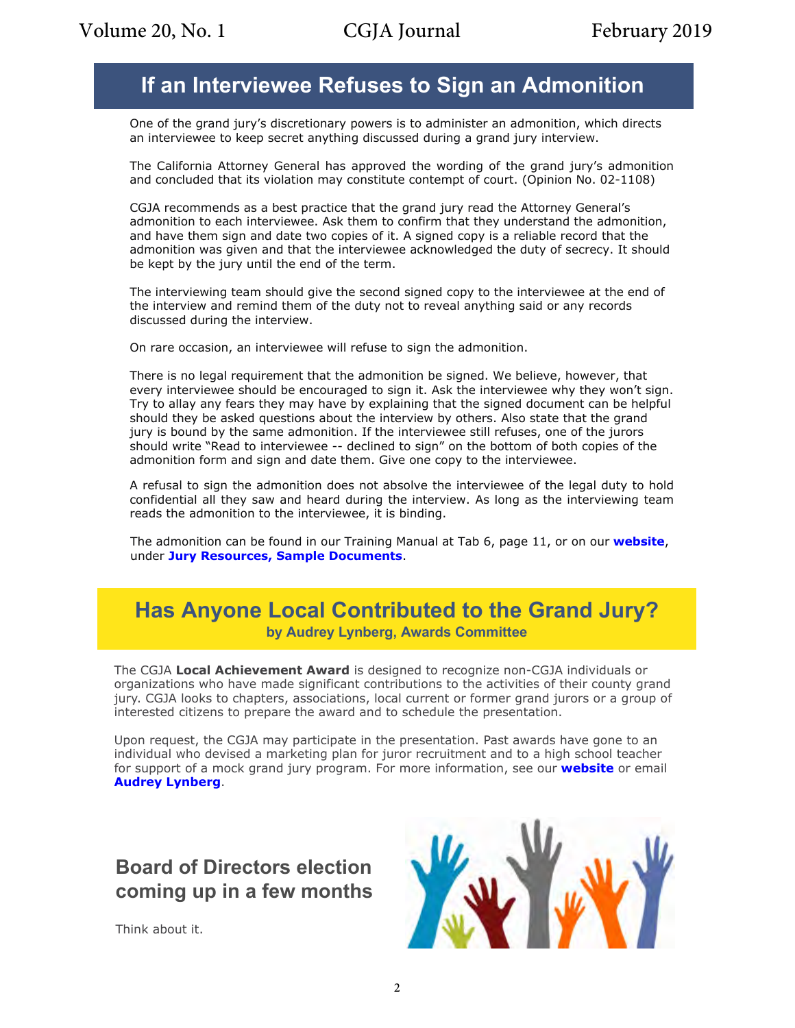### **If an Interviewee Refuses to Sign an Admonition**

One of the grand jury's discretionary powers is to administer an admonition, which directs an interviewee to keep secret anything discussed during a grand jury interview.

The California Attorney General has approved the wording of the grand jury's admonition and concluded that its violation may constitute contempt of court. (Opinion No. 02-1108)

CGJA recommends as a best practice that the grand jury read the Attorney General's admonition to each interviewee. Ask them to confirm that they understand the admonition, and have them sign and date two copies of it. A signed copy is a reliable record that the admonition was given and that the interviewee acknowledged the duty of secrecy. It should be kept by the jury until the end of the term.

The interviewing team should give the second signed copy to the interviewee at the end of the interview and remind them of the duty not to reveal anything said or any records discussed during the interview.

On rare occasion, an interviewee will refuse to sign the admonition.

There is no legal requirement that the admonition be signed. We believe, however, that every interviewee should be encouraged to sign it. Ask the interviewee why they won't sign. Try to allay any fears they may have by explaining that the signed document can be helpful should they be asked questions about the interview by others. Also state that the grand jury is bound by the same admonition. If the interviewee still refuses, one of the jurors should write "Read to interviewee -- declined to sign" on the bottom of both copies of the admonition form and sign and date them. Give one copy to the interviewee.

A refusal to sign the admonition does not absolve the interviewee of the legal duty to hold confidential all they saw and heard during the interview. As long as the interviewing team reads the admonition to the interviewee, it is binding.

The admonition can be found in our Training Manual at Tab 6, page 11, or on our **[website](https://cgja.org/)**, under **[Jury Resources, Sample Documents](https://cgja.org/sample-documents)**.

### **Has Anyone Local Contributed to the Grand Jury? by Audrey Lynberg, Awards Committee**

The CGJA **Local Achievement Award** is designed to recognize non-CGJA individuals or organizations who have made significant contributions to the activities of their county grand jury. CGJA looks to chapters, associations, local current or former grand jurors or a group of interested citizens to prepare the award and to schedule the presentation.

Upon request, the CGJA may participate in the presentation. Past awards have gone to an individual who devised a marketing plan for juror recruitment and to a high school teacher for support of a mock grand jury program. For more information, see our **[website](http://cgja.org/local-achievement-award)** or email **Audrey [Lynberg](mailto:allm@charter.net)**.

### **Board of Directors election coming up in a few months**

Think about it.

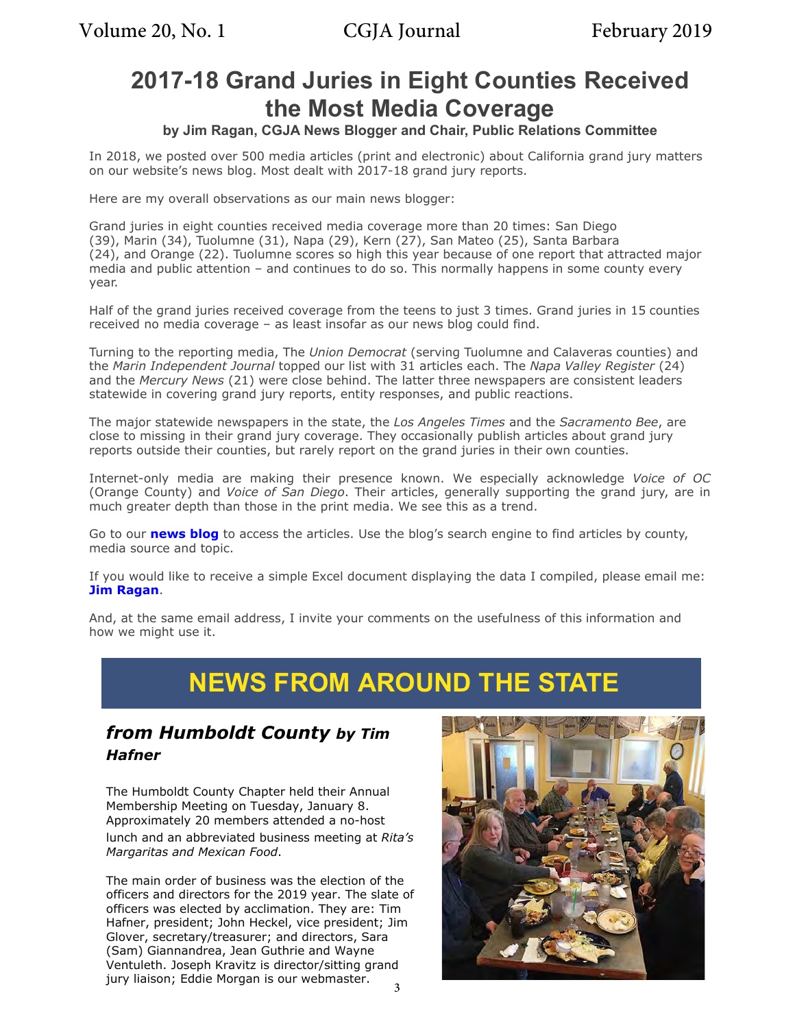# **2017-18 Grand Juries in Eight Counties Received the Most Media Coverage**

### **by Jim Ragan, CGJA News Blogger and Chair, Public Relations Committee**

In 2018, we posted over 500 media articles (print and electronic) about California grand jury matters on our website's news blog. Most dealt with 2017-18 grand jury reports.

Here are my overall observations as our main news blogger:

Grand juries in eight counties received media coverage more than 20 times: San Diego (39), Marin (34), Tuolumne (31), Napa (29), Kern (27), San Mateo (25), Santa Barbara (24), and Orange (22). Tuolumne scores so high this year because of one report that attracted major media and public attention – and continues to do so. This normally happens in some county every year.

Half of the grand juries received coverage from the teens to just 3 times. Grand juries in 15 counties received no media coverage – as least insofar as our news blog could find.

Turning to the reporting media, The *Union Democrat* (serving Tuolumne and Calaveras counties) and the *Marin Independent Journal* topped our list with 31 articles each. The *Napa Valley Register* (24) and the *Mercury News* (21) were close behind. The latter three newspapers are consistent leaders statewide in covering grand jury reports, entity responses, and public reactions.

The major statewide newspapers in the state, the *Los Angeles Times* and the *Sacramento Bee*, are close to missing in their grand jury coverage. They occasionally publish articles about grand jury reports outside their counties, but rarely report on the grand juries in their own counties.

Internet-only media are making their presence known. We especially acknowledge *Voice of OC* (Orange County) and *Voice of San Diego*. Their articles, generally supporting the grand jury, are in much greater depth than those in the print media. We see this as a trend.

Go to our **[news blog](http://cgja.blogspot.com/)** to access the articles. Use the blog's search engine to find articles by county, media source and topic.

If you would like to receive a simple Excel document displaying the data I compiled, please email me: **[Jim Ragan](mailto:jimragan@charter.net)**.

And, at the same email address, I invite your comments on the usefulness of this information and how we might use it.

# **NEWS FROM AROUND THE STATE**

### *from Humboldt County by Tim Hafner*

The Humboldt County Chapter held their Annual Membership Meeting on Tuesday, January 8. Approximately 20 members attended a no-host lunch and an abbreviated business meeting at *Rita's Margaritas and Mexican Food*.

The main order of business was the election of the officers and directors for the 2019 year. The slate of officers was elected by acclimation. They are: Tim Hafner, president; John Heckel, vice president; Jim Glover, secretary/treasurer; and directors, Sara (Sam) Giannandrea, Jean Guthrie and Wayne Ventuleth. Joseph Kravitz is director/sitting grand jury liaison; Eddie Morgan is our webmaster.

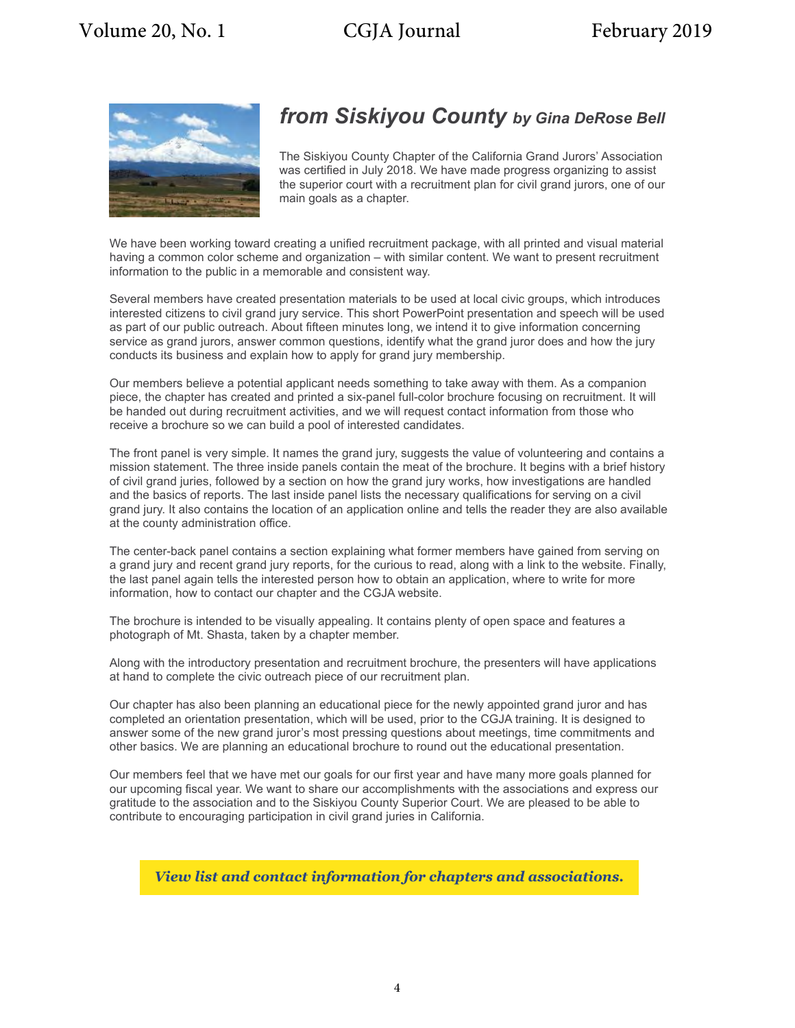

### *from Siskiyou County by Gina DeRose Bell*

The Siskiyou County Chapter of the California Grand Jurors' Association was certified in July 2018. We have made progress organizing to assist the superior court with a recruitment plan for civil grand jurors, one of our main goals as a chapter.

We have been working toward creating a unified recruitment package, with all printed and visual material having a common color scheme and organization – with similar content. We want to present recruitment information to the public in a memorable and consistent way.

Several members have created presentation materials to be used at local civic groups, which introduces interested citizens to civil grand jury service. This short PowerPoint presentation and speech will be used as part of our public outreach. About fifteen minutes long, we intend it to give information concerning service as grand jurors, answer common questions, identify what the grand juror does and how the jury conducts its business and explain how to apply for grand jury membership.

Our members believe a potential applicant needs something to take away with them. As a companion piece, the chapter has created and printed a six-panel full-color brochure focusing on recruitment. It will be handed out during recruitment activities, and we will request contact information from those who receive a brochure so we can build a pool of interested candidates.

The front panel is very simple. It names the grand jury, suggests the value of volunteering and contains a mission statement. The three inside panels contain the meat of the brochure. It begins with a brief history of civil grand juries, followed by a section on how the grand jury works, how investigations are handled and the basics of reports. The last inside panel lists the necessary qualifications for serving on a civil grand jury. It also contains the location of an application online and tells the reader they are also available at the county administration office.

The center-back panel contains a section explaining what former members have gained from serving on a grand jury and recent grand jury reports, for the curious to read, along with a link to the website. Finally, the last panel again tells the interested person how to obtain an application, where to write for more information, how to contact our chapter and the CGJA website.

The brochure is intended to be visually appealing. It contains plenty of open space and features a photograph of Mt. Shasta, taken by a chapter member.

Along with the introductory presentation and recruitment brochure, the presenters will have applications at hand to complete the civic outreach piece of our recruitment plan.

Our chapter has also been planning an educational piece for the newly appointed grand juror and has completed an orientation presentation, which will be used, prior to the CGJA training. It is designed to answer some of the new grand juror's most pressing questions about meetings, time commitments and other basics. We are planning an educational brochure to round out the educational presentation.

Our members feel that we have met our goals for our first year and have many more goals planned for our upcoming fiscal year. We want to share our accomplishments with the associations and express our gratitude to the association and to the Siskiyou County Superior Court. We are pleased to be able to contribute to encouraging participation in civil grand juries in California.

*[View list and contact information for chapters and associations.](http://cgja.org/chapters-and-associations)*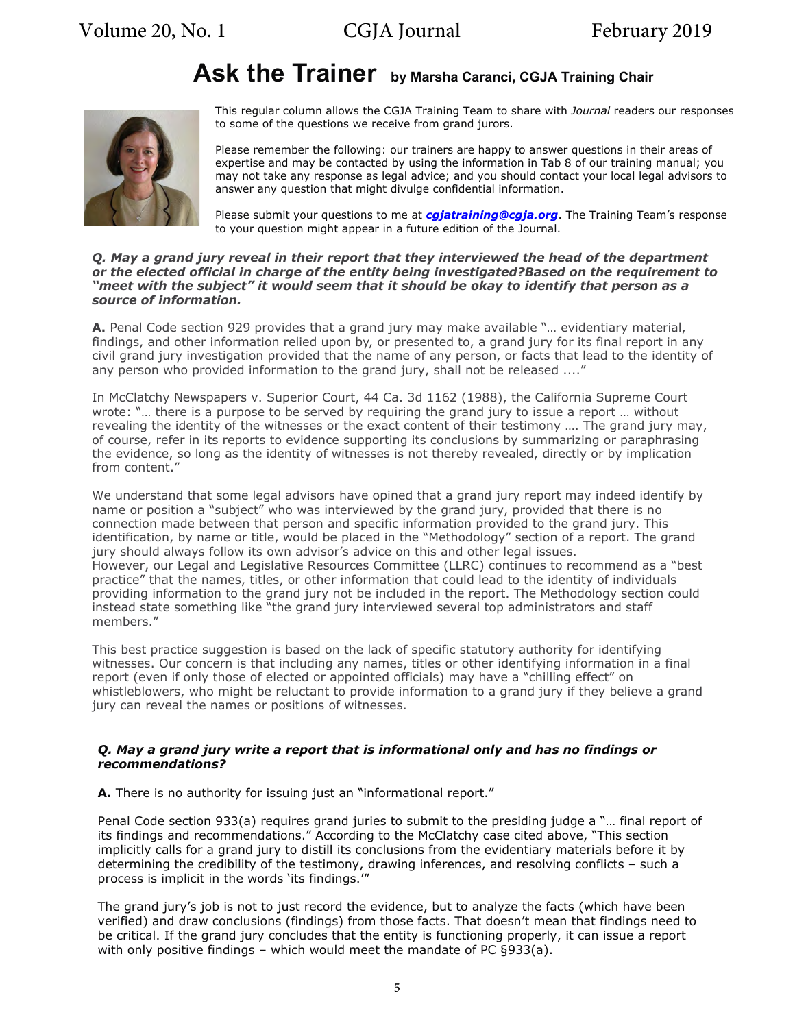# **Ask the Trainer by Marsha Caranci, CGJA Training Chair**



This regular column allows the CGJA Training Team to share with *Journal* readers our responses to some of the questions we receive from grand jurors.

Please remember the following: our trainers are happy to answer questions in their areas of expertise and may be contacted by using the information in Tab 8 of our training manual; you may not take any response as legal advice; and you should contact your local legal advisors to answer any question that might divulge confidential information.

Please submit your questions to me at *[cgjatraining@cgja.org](mailto:cgjatraining@cgja.org)*. The Training Team's response to your question might appear in a future edition of the Journal.

#### *Q. May a grand jury reveal in their report that they interviewed the head of the department or the elected official in charge of the entity being investigated?Based on the requirement to "meet with the subject" it would seem that it should be okay to identify that person as a source of information.*

**A.** Penal Code section 929 provides that a grand jury may make available "… evidentiary material, findings, and other information relied upon by, or presented to, a grand jury for its final report in any civil grand jury investigation provided that the name of any person, or facts that lead to the identity of any person who provided information to the grand jury, shall not be released ....'

In McClatchy Newspapers v. Superior Court, 44 Ca. 3d 1162 (1988), the California Supreme Court wrote: "… there is a purpose to be served by requiring the grand jury to issue a report … without revealing the identity of the witnesses or the exact content of their testimony …. The grand jury may, of course, refer in its reports to evidence supporting its conclusions by summarizing or paraphrasing the evidence, so long as the identity of witnesses is not thereby revealed, directly or by implication from content."

We understand that some legal advisors have opined that a grand jury report may indeed identify by name or position a "subject" who was interviewed by the grand jury, provided that there is no connection made between that person and specific information provided to the grand jury. This identification, by name or title, would be placed in the "Methodology" section of a report. The grand jury should always follow its own advisor's advice on this and other legal issues. However, our Legal and Legislative Resources Committee (LLRC) continues to recommend as a "best practice" that the names, titles, or other information that could lead to the identity of individuals providing information to the grand jury not be included in the report. The Methodology section could instead state something like "the grand jury interviewed several top administrators and staff members."

This best practice suggestion is based on the lack of specific statutory authority for identifying witnesses. Our concern is that including any names, titles or other identifying information in a final report (even if only those of elected or appointed officials) may have a "chilling effect" on whistleblowers, who might be reluctant to provide information to a grand jury if they believe a grand jury can reveal the names or positions of witnesses.

#### *Q. May a grand jury write a report that is informational only and has no findings or recommendations?*

**A.** There is no authority for issuing just an "informational report."

Penal Code section 933(a) requires grand juries to submit to the presiding judge a "… final report of its findings and recommendations." According to the McClatchy case cited above, "This section implicitly calls for a grand jury to distill its conclusions from the evidentiary materials before it by determining the credibility of the testimony, drawing inferences, and resolving conflicts – such a process is implicit in the words 'its findings.'"

The grand jury's job is not to just record the evidence, but to analyze the facts (which have been verified) and draw conclusions (findings) from those facts. That doesn't mean that findings need to be critical. If the grand jury concludes that the entity is functioning properly, it can issue a report with only positive findings – which would meet the mandate of PC §933(a).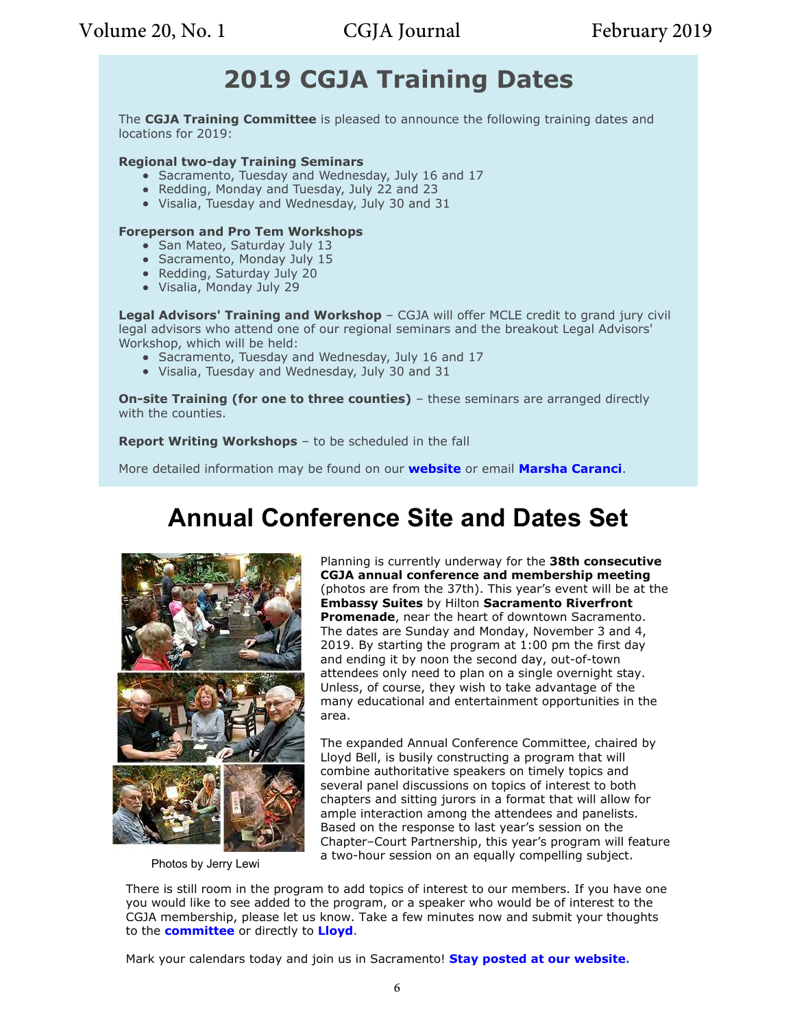# **2019 CGJA Training Dates**

The **CGJA Training Committee** is pleased to announce the following training dates and locations for 2019:

#### **Regional two-day Training Seminars**

- Sacramento, Tuesday and Wednesday, July 16 and 17
- Redding, Monday and Tuesday, July 22 and 23
- Visalia, Tuesday and Wednesday, July 30 and 31

#### **Foreperson and Pro Tem Workshops**

- San Mateo, Saturday July 13
- Sacramento, Monday July 15
- Redding, Saturday July 20
- Visalia, Monday July 29

**Legal Advisors' Training and Workshop** – CGJA will offer MCLE credit to grand jury civil legal advisors who attend one of our regional seminars and the breakout Legal Advisors' Workshop, which will be held:

- Sacramento, Tuesday and Wednesday, July 16 and 17
- Visalia, Tuesday and Wednesday, July 30 and 31

**On-site Training (for one to three counties)** – these seminars are arranged directly with the counties.

**Report Writing Workshops** – to be scheduled in the fall

More detailed information may be found on our **[website](http://cgja.org/report-writing-workshops)** or email **[Marsha Caranci](mailto:Caranci@aol.com)**.

# **Annual Conference Site and Dates Set**



Photos by Jerry Lewi

Planning is currently underway for the **38th consecutive CGJA annual conference and membership meeting** (photos are from the 37th). This year's event will be at the **Embassy Suites** by Hilton **Sacramento Riverfront Promenade**, near the heart of downtown Sacramento. The dates are Sunday and Monday, November 3 and 4, 2019. By starting the program at 1:00 pm the first day and ending it by noon the second day, out-of-town attendees only need to plan on a single overnight stay. Unless, of course, they wish to take advantage of the many educational and entertainment opportunities in the area.

The expanded Annual Conference Committee, chaired by Lloyd Bell, is busily constructing a program that will combine authoritative speakers on timely topics and several panel discussions on topics of interest to both chapters and sitting jurors in a format that will allow for ample interaction among the attendees and panelists. Based on the response to last year's session on the Chapter–Court Partnership, this year's program will feature a two-hour session on an equally compelling subject.

There is still room in the program to add topics of interest to our members. If you have one you would like to see added to the program, or a speaker who would be of interest to the CGJA membership, please let us know. Take a few minutes now and submit your thoughts to the **[committee](mailto:annualconference@cgja.org)** or directly to **[Lloyd](mailto:lloyd.bell@comcast.net)**.

Mark your calendars today and join us in Sacramento! **Stay posted at our [website.](http://cgja.org/annual-conference)**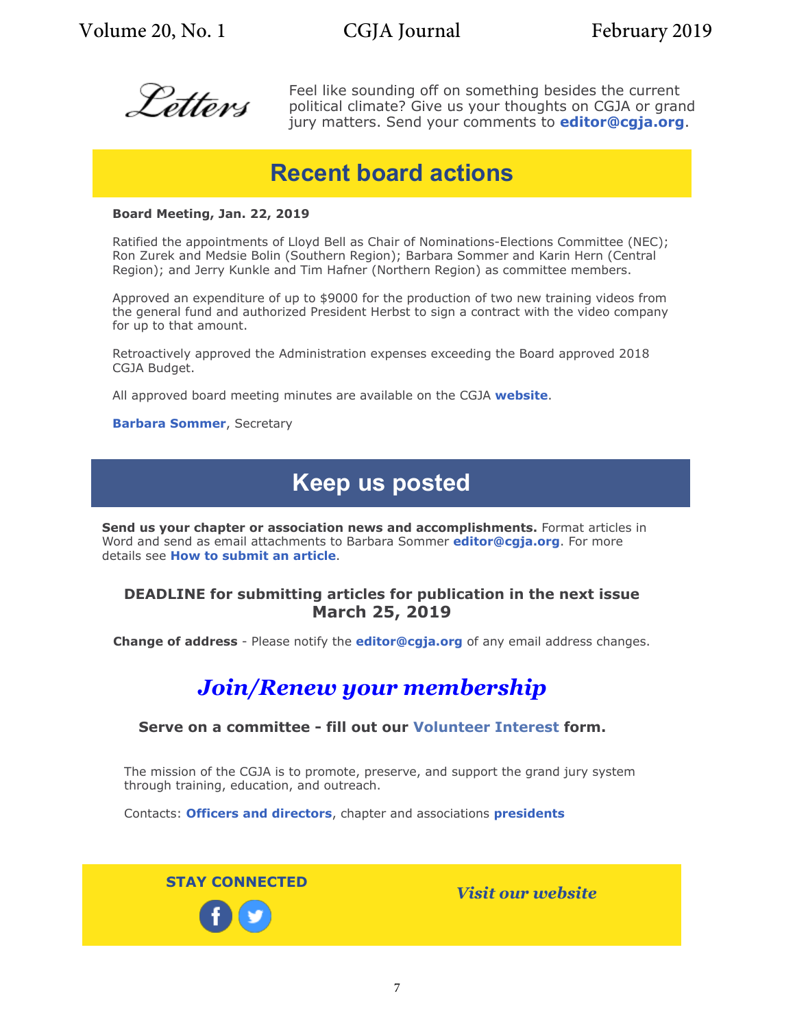Volume 20, No. 1 CGJA Journal February 2019



Feel like sounding off on something besides the current political climate? Give us your thoughts on CGJA or grand jury matters. Send your comments to **editor@cgja.org**.

### **Recent board actions**

#### **Board Meeting, Jan. 22, 2019**

Ratified the appointments of Lloyd Bell as Chair of Nominations-Elections Committee (NEC); Ron Zurek and Medsie Bolin (Southern Region); Barbara Sommer and Karin Hern (Central Region); and Jerry Kunkle and Tim Hafner (Northern Region) as committee members.

Approved an expenditure of up to \$9000 for the production of two new training videos from the general fund and authorized President Herbst to sign a contract with the video company for up to that amount.

Retroactively approved the Administration expenses exceeding the Board approved 2018 CGJA Budget.

All approved board meeting minutes are available on the CGJA **[website](http://cgja.org/board-minutes)**.

#### **[Barbara Sommer](mailto:basommer@ucdavis.edu?SUBJECT=CGJA board actions)**, Secretary

# **Keep us posted**

**Send us your chapter or association news and accomplishments.** Format articles in Word and send as email attachments to Barbara Sommer **editor@cgja.org**. For more details see **[How to submit an article](http://cgja.org/node/134)**.

### **DEADLINE for submitting articles for publication in the next issue March 25, 2019**

**Change of address** - Please notify the **editor@cgja.org** of any email address changes.

### *[Join/Renew your membership](http://cgja.org/joinrenew)*

#### **Serve on a committee - fill out our [Volunteer Interest](http://cgja.org/form/volunteer-interest-form) form.**

The mission of the CGJA is to promote, preserve, and support the grand jury system through training, education, and outreach.

Contacts: **[Officers and directors](http://cgja.org/officers-directors)**, chapter and associations **[presidents](http://cgja.org/chapters-and-associations)**

**STAY CONNECTED** *[Visit our website](http://cgja.org/)*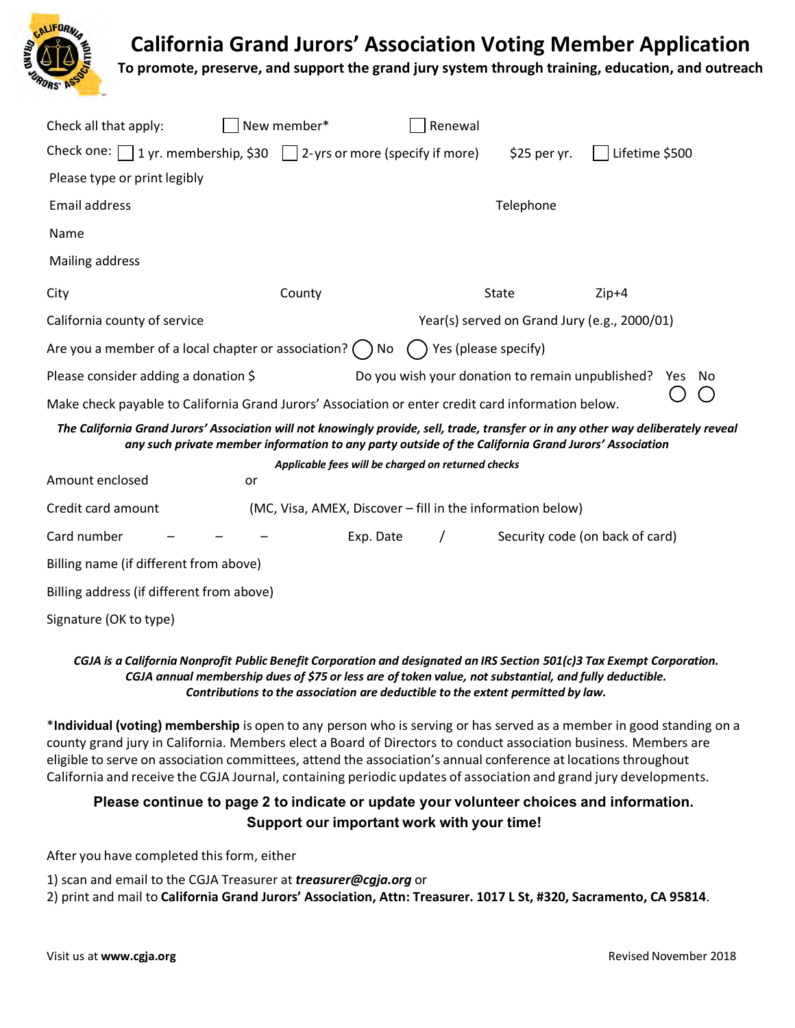**California Grand Jurors' Association Voting Member Application**



**To promote, preserve, and support the grand jury system through training, education, and outreach**

| Check all that apply:                                                                              | New member* | Renewal                                                                                              |                                              |                                                                                                                                    |  |  |
|----------------------------------------------------------------------------------------------------|-------------|------------------------------------------------------------------------------------------------------|----------------------------------------------|------------------------------------------------------------------------------------------------------------------------------------|--|--|
| Check one: $\Box$ 1 yr. membership, \$30 $\Box$ 2-yrs or more (specify if more)                    |             |                                                                                                      | $$25$ per yr.                                | Lifetime \$500                                                                                                                     |  |  |
| Please type or print legibly                                                                       |             |                                                                                                      |                                              |                                                                                                                                    |  |  |
| <b>Email address</b>                                                                               | Telephone   |                                                                                                      |                                              |                                                                                                                                    |  |  |
| Name                                                                                               |             |                                                                                                      |                                              |                                                                                                                                    |  |  |
| Mailing address                                                                                    |             |                                                                                                      |                                              |                                                                                                                                    |  |  |
| City                                                                                               | County      |                                                                                                      | State                                        | $Zip+4$                                                                                                                            |  |  |
| California county of service                                                                       |             |                                                                                                      | Year(s) served on Grand Jury (e.g., 2000/01) |                                                                                                                                    |  |  |
| Are you a member of a local chapter or association? (                                              |             | ۱ No                                                                                                 | Yes (please specify)                         |                                                                                                                                    |  |  |
| Please consider adding a donation \$                                                               |             | Do you wish your donation to remain unpublished?<br>No<br>Yes.                                       |                                              |                                                                                                                                    |  |  |
| Make check payable to California Grand Jurors' Association or enter credit card information below. |             |                                                                                                      |                                              |                                                                                                                                    |  |  |
|                                                                                                    |             | any such private member information to any party outside of the California Grand Jurors' Association |                                              | The California Grand Jurors' Association will not knowingly provide, sell, trade, transfer or in any other way deliberately reveal |  |  |
|                                                                                                    |             | Applicable fees will be charged on returned checks                                                   |                                              |                                                                                                                                    |  |  |
| Amount enclosed                                                                                    | or          |                                                                                                      |                                              |                                                                                                                                    |  |  |
| Credit card amount<br>(MC, Visa, AMEX, Discover – fill in the information below)                   |             |                                                                                                      |                                              |                                                                                                                                    |  |  |
| Card number                                                                                        |             | Exp. Date                                                                                            |                                              | Security code (on back of card)                                                                                                    |  |  |
| Billing name (if different from above)                                                             |             |                                                                                                      |                                              |                                                                                                                                    |  |  |
| Billing address (if different from above)                                                          |             |                                                                                                      |                                              |                                                                                                                                    |  |  |
| Signature (OK to type)                                                                             |             |                                                                                                      |                                              |                                                                                                                                    |  |  |

#### CGJA is a California Nonprofit Public Benefit Corporation and designated an IRS Section 501(c)3 Tax Exempt Corporation. *CGJA annual membership dues of \$75 or less are of token value, not substantial, and fully deductible. Contributions to the association are deductible to the extent permitted by law.*

\***Individual (voting) membership** is open to any person who is serving or has served as a member in good standing on a county grand jury in California. Members elect a Board of Directors to conduct association business. Members are eligible to serve on association committees, attend the association's annual conference at locationsthroughout California and receive the CGJA Journal, containing periodic updates of association and grand jury developments.

### **Please continue to page 2 to indicate or update your volunteer choices and information. Support our important work with your time!**

After you have completed this form, either

- 1) scan and email to the CGJA Treasurer at *treasurer@cgja.org* or
- 2) print and mail to **California Grand Jurors' Association, Attn: Treasurer. 1017 L St, #320, Sacramento, CA 95814**.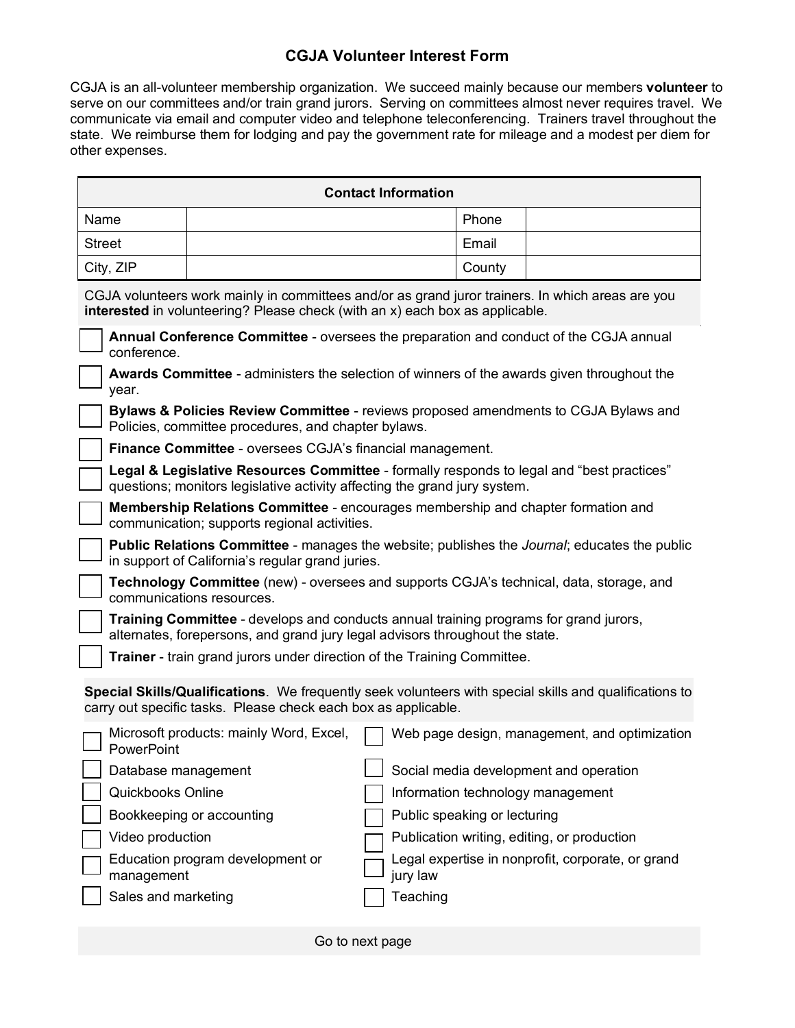### **CGJA Volunteer Interest Form**

CGJA is an all-volunteer membership organization. We succeed mainly because our members **volunteer** to serve on our committees and/or train grand jurors. Serving on committees almost never requires travel. We communicate via email and computer video and telephone teleconferencing. Trainers travel throughout the state. We reimburse them for lodging and pay the government rate for mileage and a modest per diem for other expenses.

|                                                                                                                                                                                  |                                                                                                            |                                         |                          | <b>Contact Information</b> |                              |                                                   |  |  |
|----------------------------------------------------------------------------------------------------------------------------------------------------------------------------------|------------------------------------------------------------------------------------------------------------|-----------------------------------------|--------------------------|----------------------------|------------------------------|---------------------------------------------------|--|--|
| Name                                                                                                                                                                             |                                                                                                            |                                         |                          |                            | Phone                        |                                                   |  |  |
| <b>Street</b>                                                                                                                                                                    |                                                                                                            |                                         |                          |                            | Email                        |                                                   |  |  |
| City, ZIP                                                                                                                                                                        |                                                                                                            |                                         |                          |                            | County                       |                                                   |  |  |
| CGJA volunteers work mainly in committees and/or as grand juror trainers. In which areas are you<br>interested in volunteering? Please check (with an x) each box as applicable. |                                                                                                            |                                         |                          |                            |                              |                                                   |  |  |
| Annual Conference Committee - oversees the preparation and conduct of the CGJA annual<br>conference.                                                                             |                                                                                                            |                                         |                          |                            |                              |                                                   |  |  |
|                                                                                                                                                                                  | <b>Awards Committee</b> - administers the selection of winners of the awards given throughout the<br>year. |                                         |                          |                            |                              |                                                   |  |  |
| <b>Bylaws &amp; Policies Review Committee</b> - reviews proposed amendments to CGJA Bylaws and<br>Policies, committee procedures, and chapter bylaws.                            |                                                                                                            |                                         |                          |                            |                              |                                                   |  |  |
|                                                                                                                                                                                  | Finance Committee - oversees CGJA's financial management.                                                  |                                         |                          |                            |                              |                                                   |  |  |
| Legal & Legislative Resources Committee - formally responds to legal and "best practices"<br>questions; monitors legislative activity affecting the grand jury system.           |                                                                                                            |                                         |                          |                            |                              |                                                   |  |  |
| <b>Membership Relations Committee</b> - encourages membership and chapter formation and<br>communication; supports regional activities.                                          |                                                                                                            |                                         |                          |                            |                              |                                                   |  |  |
| Public Relations Committee - manages the website; publishes the Journal; educates the public<br>in support of California's regular grand juries.                                 |                                                                                                            |                                         |                          |                            |                              |                                                   |  |  |
| Technology Committee (new) - oversees and supports CGJA's technical, data, storage, and<br>communications resources.                                                             |                                                                                                            |                                         |                          |                            |                              |                                                   |  |  |
| Training Committee - develops and conducts annual training programs for grand jurors,<br>alternates, forepersons, and grand jury legal advisors throughout the state.            |                                                                                                            |                                         |                          |                            |                              |                                                   |  |  |
| Trainer - train grand jurors under direction of the Training Committee.                                                                                                          |                                                                                                            |                                         |                          |                            |                              |                                                   |  |  |
| Special Skills/Qualifications. We frequently seek volunteers with special skills and qualifications to<br>carry out specific tasks. Please check each box as applicable.         |                                                                                                            |                                         |                          |                            |                              |                                                   |  |  |
|                                                                                                                                                                                  | PowerPoint                                                                                                 | Microsoft products: mainly Word, Excel, |                          |                            |                              | Web page design, management, and optimization     |  |  |
|                                                                                                                                                                                  |                                                                                                            | Database management                     | $\overline{\phantom{0}}$ |                            |                              | Social media development and operation            |  |  |
|                                                                                                                                                                                  | Quickbooks Online                                                                                          |                                         |                          |                            |                              | Information technology management                 |  |  |
|                                                                                                                                                                                  |                                                                                                            | Bookkeeping or accounting               |                          |                            | Public speaking or lecturing |                                                   |  |  |
|                                                                                                                                                                                  | Video production                                                                                           |                                         |                          |                            |                              | Publication writing, editing, or production       |  |  |
|                                                                                                                                                                                  | management                                                                                                 | Education program development or        |                          | jury law                   |                              | Legal expertise in nonprofit, corporate, or grand |  |  |
|                                                                                                                                                                                  | Sales and marketing                                                                                        |                                         |                          | Teaching                   |                              |                                                   |  |  |
|                                                                                                                                                                                  |                                                                                                            |                                         |                          |                            |                              |                                                   |  |  |

Go to next page